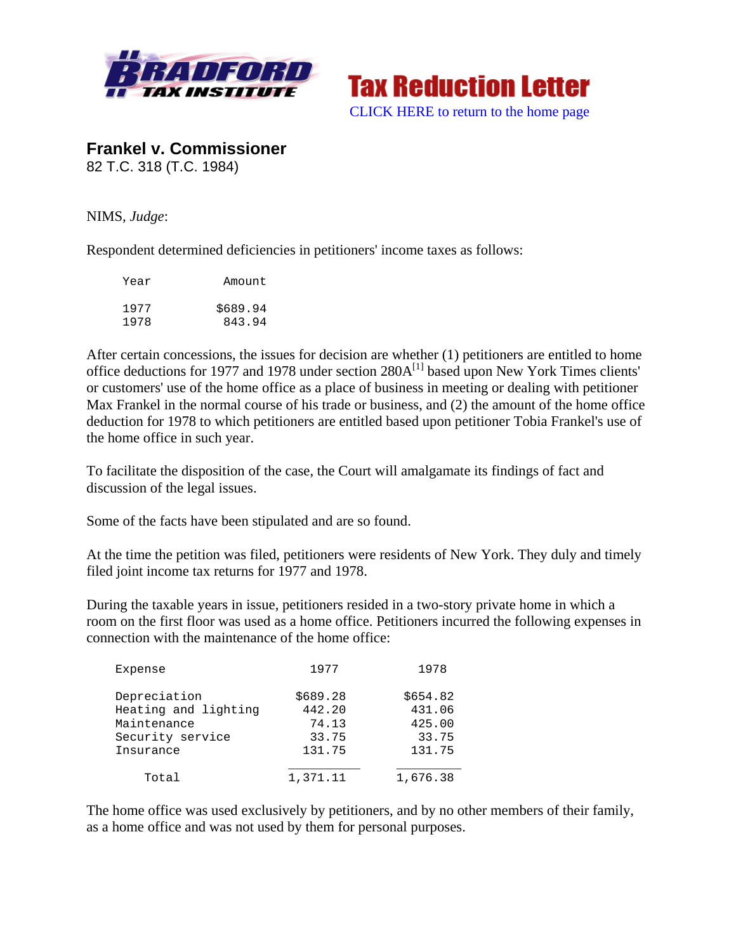



**Frankel v. Commissioner**  82 T.C. 318 (T.C. 1984)

NIMS, *Judge*:

Respondent determined deficiencies in petitioners' income taxes as follows:

| Year | Amount   |  |
|------|----------|--|
| 1977 | \$689.94 |  |
| 1978 | 843.94   |  |

After certain concessions, the issues for decision are whether (1) petitioners are entitled to home office deductions for 1977 and 1978 under section  $280A^{[1]}$  based upon New York Times clients' or customers' use of the home office as a place of business in meeting or dealing with petitioner Max Frankel in the normal course of his trade or business, and (2) the amount of the home office deduction for 1978 to which petitioners are entitled based upon petitioner Tobia Frankel's use of the home office in such year.

To facilitate the disposition of the case, the Court will amalgamate its findings of fact and discussion of the legal issues.

Some of the facts have been stipulated and are so found.

At the time the petition was filed, petitioners were residents of New York. They duly and timely filed joint income tax returns for 1977 and 1978.

During the taxable years in issue, petitioners resided in a two-story private home in which a room on the first floor was used as a home office. Petitioners incurred the following expenses in connection with the maintenance of the home office:

| Expense              | 1977     | 1978     |
|----------------------|----------|----------|
| Depreciation         | \$689.28 | \$654.82 |
| Heating and lighting | 442.20   | 431.06   |
| Maintenance          | 74.13    | 425.00   |
| Security service     | 33.75    | 33.75    |
| Insurance            | 131.75   | 131.75   |
| Total                | 1,371.11 | 1,676.38 |

The home office was used exclusively by petitioners, and by no other members of their family, as a home office and was not used by them for personal purposes.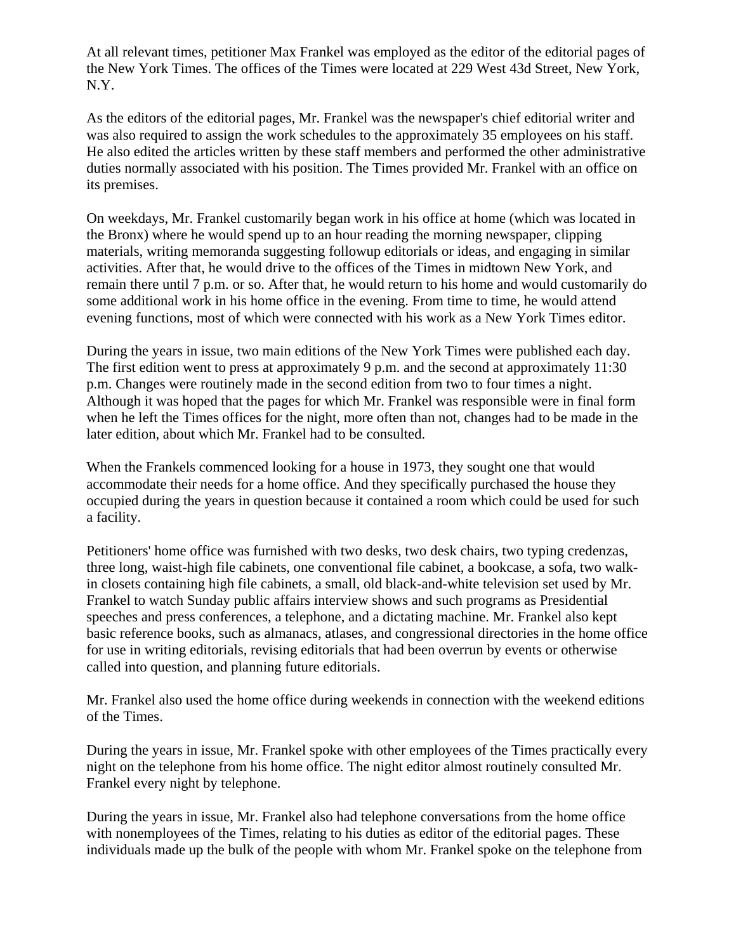At all relevant times, petitioner Max Frankel was employed as the editor of the editorial pages of the New York Times. The offices of the Times were located at 229 West 43d Street, New York, N.Y.

As the editors of the editorial pages, Mr. Frankel was the newspaper's chief editorial writer and was also required to assign the work schedules to the approximately 35 employees on his staff. He also edited the articles written by these staff members and performed the other administrative duties normally associated with his position. The Times provided Mr. Frankel with an office on its premises.

On weekdays, Mr. Frankel customarily began work in his office at home (which was located in the Bronx) where he would spend up to an hour reading the morning newspaper, clipping materials, writing memoranda suggesting followup editorials or ideas, and engaging in similar activities. After that, he would drive to the offices of the Times in midtown New York, and remain there until 7 p.m. or so. After that, he would return to his home and would customarily do some additional work in his home office in the evening. From time to time, he would attend evening functions, most of which were connected with his work as a New York Times editor.

During the years in issue, two main editions of the New York Times were published each day. The first edition went to press at approximately 9 p.m. and the second at approximately 11:30 p.m. Changes were routinely made in the second edition from two to four times a night. Although it was hoped that the pages for which Mr. Frankel was responsible were in final form when he left the Times offices for the night, more often than not, changes had to be made in the later edition, about which Mr. Frankel had to be consulted.

When the Frankels commenced looking for a house in 1973, they sought one that would accommodate their needs for a home office. And they specifically purchased the house they occupied during the years in question because it contained a room which could be used for such a facility.

Petitioners' home office was furnished with two desks, two desk chairs, two typing credenzas, three long, waist-high file cabinets, one conventional file cabinet, a bookcase, a sofa, two walkin closets containing high file cabinets, a small, old black-and-white television set used by Mr. Frankel to watch Sunday public affairs interview shows and such programs as Presidential speeches and press conferences, a telephone, and a dictating machine. Mr. Frankel also kept basic reference books, such as almanacs, atlases, and congressional directories in the home office for use in writing editorials, revising editorials that had been overrun by events or otherwise called into question, and planning future editorials.

Mr. Frankel also used the home office during weekends in connection with the weekend editions of the Times.

During the years in issue, Mr. Frankel spoke with other employees of the Times practically every night on the telephone from his home office. The night editor almost routinely consulted Mr. Frankel every night by telephone.

During the years in issue, Mr. Frankel also had telephone conversations from the home office with nonemployees of the Times, relating to his duties as editor of the editorial pages. These individuals made up the bulk of the people with whom Mr. Frankel spoke on the telephone from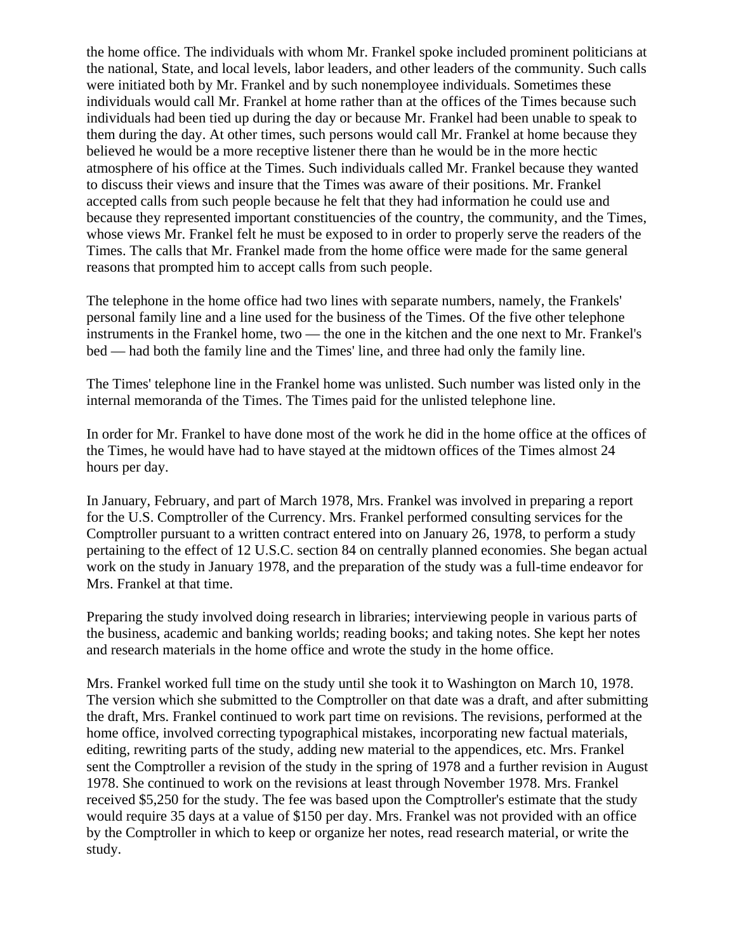the home office. The individuals with whom Mr. Frankel spoke included prominent politicians at the national, State, and local levels, labor leaders, and other leaders of the community. Such calls were initiated both by Mr. Frankel and by such nonemployee individuals. Sometimes these individuals would call Mr. Frankel at home rather than at the offices of the Times because such individuals had been tied up during the day or because Mr. Frankel had been unable to speak to them during the day. At other times, such persons would call Mr. Frankel at home because they believed he would be a more receptive listener there than he would be in the more hectic atmosphere of his office at the Times. Such individuals called Mr. Frankel because they wanted to discuss their views and insure that the Times was aware of their positions. Mr. Frankel accepted calls from such people because he felt that they had information he could use and because they represented important constituencies of the country, the community, and the Times, whose views Mr. Frankel felt he must be exposed to in order to properly serve the readers of the Times. The calls that Mr. Frankel made from the home office were made for the same general reasons that prompted him to accept calls from such people.

The telephone in the home office had two lines with separate numbers, namely, the Frankels' personal family line and a line used for the business of the Times. Of the five other telephone instruments in the Frankel home, two — the one in the kitchen and the one next to Mr. Frankel's bed — had both the family line and the Times' line, and three had only the family line.

The Times' telephone line in the Frankel home was unlisted. Such number was listed only in the internal memoranda of the Times. The Times paid for the unlisted telephone line.

In order for Mr. Frankel to have done most of the work he did in the home office at the offices of the Times, he would have had to have stayed at the midtown offices of the Times almost 24 hours per day.

In January, February, and part of March 1978, Mrs. Frankel was involved in preparing a report for the U.S. Comptroller of the Currency. Mrs. Frankel performed consulting services for the Comptroller pursuant to a written contract entered into on January 26, 1978, to perform a study pertaining to the effect of 12 U.S.C. section 84 on centrally planned economies. She began actual work on the study in January 1978, and the preparation of the study was a full-time endeavor for Mrs. Frankel at that time.

Preparing the study involved doing research in libraries; interviewing people in various parts of the business, academic and banking worlds; reading books; and taking notes. She kept her notes and research materials in the home office and wrote the study in the home office.

Mrs. Frankel worked full time on the study until she took it to Washington on March 10, 1978. The version which she submitted to the Comptroller on that date was a draft, and after submitting the draft, Mrs. Frankel continued to work part time on revisions. The revisions, performed at the home office, involved correcting typographical mistakes, incorporating new factual materials, editing, rewriting parts of the study, adding new material to the appendices, etc. Mrs. Frankel sent the Comptroller a revision of the study in the spring of 1978 and a further revision in August 1978. She continued to work on the revisions at least through November 1978. Mrs. Frankel received \$5,250 for the study. The fee was based upon the Comptroller's estimate that the study would require 35 days at a value of \$150 per day. Mrs. Frankel was not provided with an office by the Comptroller in which to keep or organize her notes, read research material, or write the study.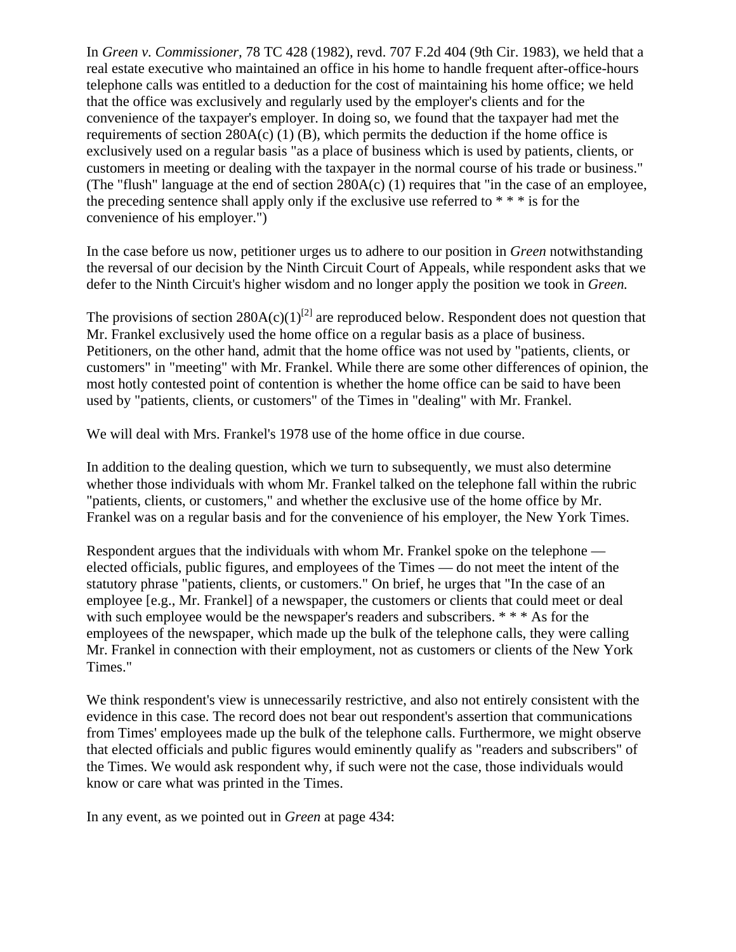In *Green v. Commissioner,* 78 TC 428 (1982), revd. 707 F.2d 404 (9th Cir. 1983), we held that a real estate executive who maintained an office in his home to handle frequent after-office-hours telephone calls was entitled to a deduction for the cost of maintaining his home office; we held that the office was exclusively and regularly used by the employer's clients and for the convenience of the taxpayer's employer. In doing so, we found that the taxpayer had met the requirements of section  $280A(c)$  (1) (B), which permits the deduction if the home office is exclusively used on a regular basis "as a place of business which is used by patients, clients, or customers in meeting or dealing with the taxpayer in the normal course of his trade or business." (The "flush" language at the end of section 280A(c) (1) requires that "in the case of an employee, the preceding sentence shall apply only if the exclusive use referred to  $**$  is for the convenience of his employer.")

In the case before us now, petitioner urges us to adhere to our position in *Green* notwithstanding the reversal of our decision by the Ninth Circuit Court of Appeals, while respondent asks that we defer to the Ninth Circuit's higher wisdom and no longer apply the position we took in *Green.*

The provisions of section  $280A(c)(1)^{[2]}$  are reproduced below. Respondent does not question that Mr. Frankel exclusively used the home office on a regular basis as a place of business. Petitioners, on the other hand, admit that the home office was not used by "patients, clients, or customers" in "meeting" with Mr. Frankel. While there are some other differences of opinion, the most hotly contested point of contention is whether the home office can be said to have been used by "patients, clients, or customers" of the Times in "dealing" with Mr. Frankel.

We will deal with Mrs. Frankel's 1978 use of the home office in due course.

In addition to the dealing question, which we turn to subsequently, we must also determine whether those individuals with whom Mr. Frankel talked on the telephone fall within the rubric "patients, clients, or customers," and whether the exclusive use of the home office by Mr. Frankel was on a regular basis and for the convenience of his employer, the New York Times.

Respondent argues that the individuals with whom Mr. Frankel spoke on the telephone elected officials, public figures, and employees of the Times — do not meet the intent of the statutory phrase "patients, clients, or customers." On brief, he urges that "In the case of an employee [e.g., Mr. Frankel] of a newspaper, the customers or clients that could meet or deal with such employee would be the newspaper's readers and subscribers. \* \* \* As for the employees of the newspaper, which made up the bulk of the telephone calls, they were calling Mr. Frankel in connection with their employment, not as customers or clients of the New York Times."

We think respondent's view is unnecessarily restrictive, and also not entirely consistent with the evidence in this case. The record does not bear out respondent's assertion that communications from Times' employees made up the bulk of the telephone calls. Furthermore, we might observe that elected officials and public figures would eminently qualify as "readers and subscribers" of the Times. We would ask respondent why, if such were not the case, those individuals would know or care what was printed in the Times.

In any event, as we pointed out in *Green* at page 434: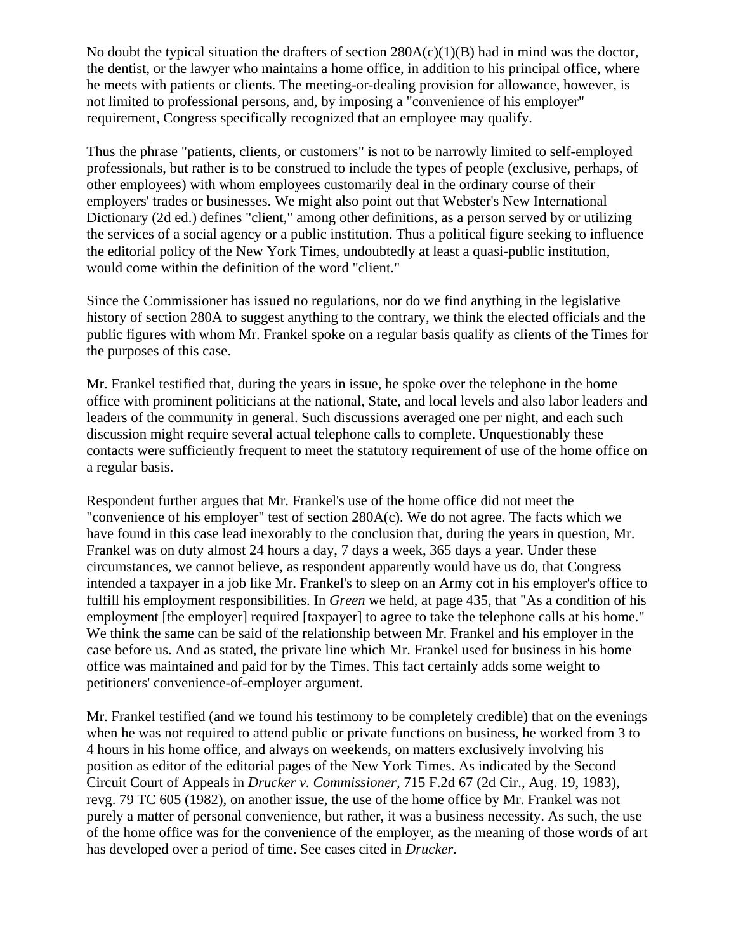No doubt the typical situation the drafters of section  $280A(c)(1)(B)$  had in mind was the doctor, the dentist, or the lawyer who maintains a home office, in addition to his principal office, where he meets with patients or clients. The meeting-or-dealing provision for allowance, however, is not limited to professional persons, and, by imposing a "convenience of his employer" requirement, Congress specifically recognized that an employee may qualify.

Thus the phrase "patients, clients, or customers" is not to be narrowly limited to self-employed professionals, but rather is to be construed to include the types of people (exclusive, perhaps, of other employees) with whom employees customarily deal in the ordinary course of their employers' trades or businesses. We might also point out that Webster's New International Dictionary (2d ed.) defines "client," among other definitions, as a person served by or utilizing the services of a social agency or a public institution. Thus a political figure seeking to influence the editorial policy of the New York Times, undoubtedly at least a quasi-public institution, would come within the definition of the word "client."

Since the Commissioner has issued no regulations, nor do we find anything in the legislative history of section 280A to suggest anything to the contrary, we think the elected officials and the public figures with whom Mr. Frankel spoke on a regular basis qualify as clients of the Times for the purposes of this case.

Mr. Frankel testified that, during the years in issue, he spoke over the telephone in the home office with prominent politicians at the national, State, and local levels and also labor leaders and leaders of the community in general. Such discussions averaged one per night, and each such discussion might require several actual telephone calls to complete. Unquestionably these contacts were sufficiently frequent to meet the statutory requirement of use of the home office on a regular basis.

Respondent further argues that Mr. Frankel's use of the home office did not meet the "convenience of his employer" test of section 280A(c). We do not agree. The facts which we have found in this case lead inexorably to the conclusion that, during the years in question, Mr. Frankel was on duty almost 24 hours a day, 7 days a week, 365 days a year. Under these circumstances, we cannot believe, as respondent apparently would have us do, that Congress intended a taxpayer in a job like Mr. Frankel's to sleep on an Army cot in his employer's office to fulfill his employment responsibilities. In *Green* we held, at page 435, that "As a condition of his employment [the employer] required [taxpayer] to agree to take the telephone calls at his home." We think the same can be said of the relationship between Mr. Frankel and his employer in the case before us. And as stated, the private line which Mr. Frankel used for business in his home office was maintained and paid for by the Times. This fact certainly adds some weight to petitioners' convenience-of-employer argument.

Mr. Frankel testified (and we found his testimony to be completely credible) that on the evenings when he was not required to attend public or private functions on business, he worked from 3 to 4 hours in his home office, and always on weekends, on matters exclusively involving his position as editor of the editorial pages of the New York Times. As indicated by the Second Circuit Court of Appeals in *Drucker v. Commissioner,* 715 F.2d 67 (2d Cir., Aug. 19, 1983), revg. 79 TC 605 (1982), on another issue, the use of the home office by Mr. Frankel was not purely a matter of personal convenience, but rather, it was a business necessity. As such, the use of the home office was for the convenience of the employer, as the meaning of those words of art has developed over a period of time. See cases cited in *Drucker.*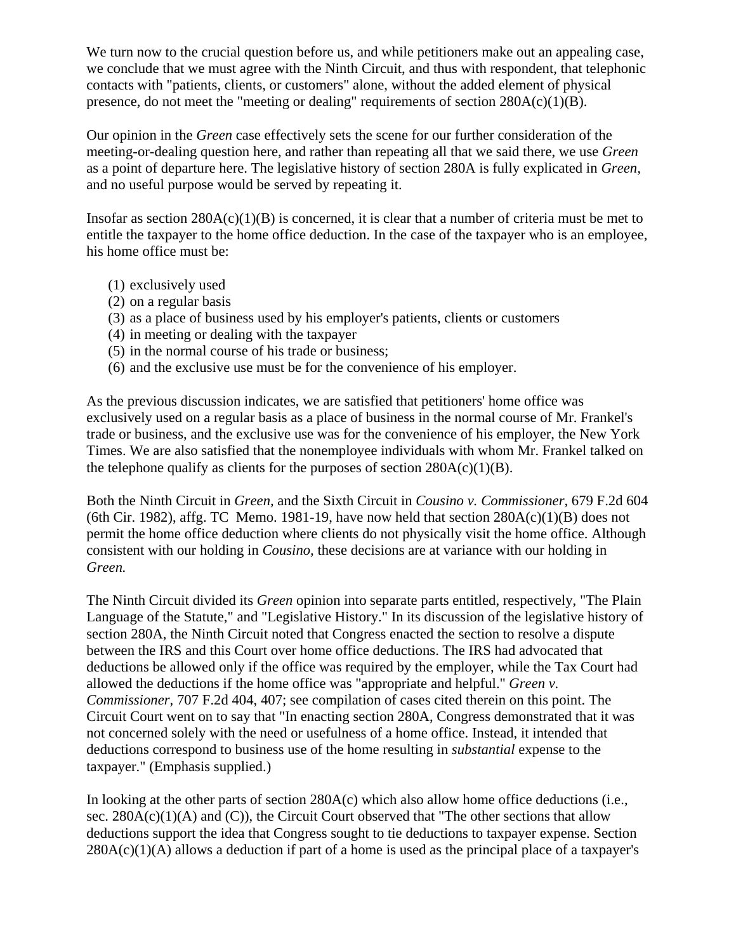We turn now to the crucial question before us, and while petitioners make out an appealing case, we conclude that we must agree with the Ninth Circuit, and thus with respondent, that telephonic contacts with "patients, clients, or customers" alone, without the added element of physical presence, do not meet the "meeting or dealing" requirements of section  $280A(c)(1)(B)$ .

Our opinion in the *Green* case effectively sets the scene for our further consideration of the meeting-or-dealing question here, and rather than repeating all that we said there, we use *Green* as a point of departure here. The legislative history of section 280A is fully explicated in *Green,* and no useful purpose would be served by repeating it.

Insofar as section  $280A(c)(1)(B)$  is concerned, it is clear that a number of criteria must be met to entitle the taxpayer to the home office deduction. In the case of the taxpayer who is an employee, his home office must be:

- (1) exclusively used
- (2) on a regular basis
- (3) as a place of business used by his employer's patients, clients or customers
- (4) in meeting or dealing with the taxpayer
- (5) in the normal course of his trade or business;
- (6) and the exclusive use must be for the convenience of his employer.

As the previous discussion indicates, we are satisfied that petitioners' home office was exclusively used on a regular basis as a place of business in the normal course of Mr. Frankel's trade or business, and the exclusive use was for the convenience of his employer, the New York Times. We are also satisfied that the nonemployee individuals with whom Mr. Frankel talked on the telephone qualify as clients for the purposes of section  $280A(c)(1)(B)$ .

Both the Ninth Circuit in *Green,* and the Sixth Circuit in *Cousino v. Commissioner,* 679 F.2d 604 (6th Cir. 1982), affg. TC Memo. 1981-19, have now held that section  $280A(c)(1)(B)$  does not permit the home office deduction where clients do not physically visit the home office. Although consistent with our holding in *Cousino,* these decisions are at variance with our holding in *Green.*

The Ninth Circuit divided its *Green* opinion into separate parts entitled, respectively, "The Plain Language of the Statute," and "Legislative History." In its discussion of the legislative history of section 280A, the Ninth Circuit noted that Congress enacted the section to resolve a dispute between the IRS and this Court over home office deductions. The IRS had advocated that deductions be allowed only if the office was required by the employer, while the Tax Court had allowed the deductions if the home office was "appropriate and helpful." *Green v. Commissioner,* 707 F.2d 404, 407; see compilation of cases cited therein on this point. The Circuit Court went on to say that "In enacting section 280A, Congress demonstrated that it was not concerned solely with the need or usefulness of a home office. Instead, it intended that deductions correspond to business use of the home resulting in *substantial* expense to the taxpayer." (Emphasis supplied.)

In looking at the other parts of section 280A(c) which also allow home office deductions (i.e., sec.  $280A(c)(1)(A)$  and (C)), the Circuit Court observed that "The other sections that allow deductions support the idea that Congress sought to tie deductions to taxpayer expense. Section  $280A(c)(1)(A)$  allows a deduction if part of a home is used as the principal place of a taxpayer's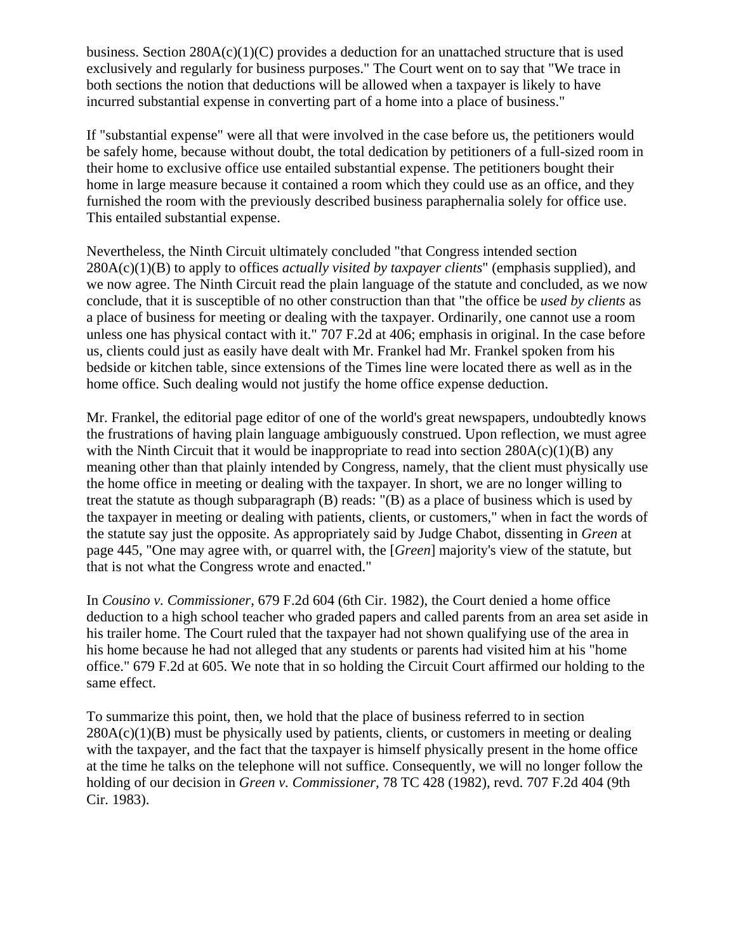business. Section  $280A(c)(1)(C)$  provides a deduction for an unattached structure that is used exclusively and regularly for business purposes." The Court went on to say that "We trace in both sections the notion that deductions will be allowed when a taxpayer is likely to have incurred substantial expense in converting part of a home into a place of business."

If "substantial expense" were all that were involved in the case before us, the petitioners would be safely home, because without doubt, the total dedication by petitioners of a full-sized room in their home to exclusive office use entailed substantial expense. The petitioners bought their home in large measure because it contained a room which they could use as an office, and they furnished the room with the previously described business paraphernalia solely for office use. This entailed substantial expense.

Nevertheless, the Ninth Circuit ultimately concluded "that Congress intended section 280A(c)(1)(B) to apply to offices *actually visited by taxpayer clients*" (emphasis supplied), and we now agree. The Ninth Circuit read the plain language of the statute and concluded, as we now conclude, that it is susceptible of no other construction than that "the office be *used by clients* as a place of business for meeting or dealing with the taxpayer. Ordinarily, one cannot use a room unless one has physical contact with it." 707 F.2d at 406; emphasis in original. In the case before us, clients could just as easily have dealt with Mr. Frankel had Mr. Frankel spoken from his bedside or kitchen table, since extensions of the Times line were located there as well as in the home office. Such dealing would not justify the home office expense deduction.

Mr. Frankel, the editorial page editor of one of the world's great newspapers, undoubtedly knows the frustrations of having plain language ambiguously construed. Upon reflection, we must agree with the Ninth Circuit that it would be inappropriate to read into section  $280A(c)(1)(B)$  any meaning other than that plainly intended by Congress, namely, that the client must physically use the home office in meeting or dealing with the taxpayer. In short, we are no longer willing to treat the statute as though subparagraph (B) reads: "(B) as a place of business which is used by the taxpayer in meeting or dealing with patients, clients, or customers," when in fact the words of the statute say just the opposite. As appropriately said by Judge Chabot, dissenting in *Green* at page 445, "One may agree with, or quarrel with, the [*Green*] majority's view of the statute, but that is not what the Congress wrote and enacted."

In *Cousino v. Commissioner,* 679 F.2d 604 (6th Cir. 1982), the Court denied a home office deduction to a high school teacher who graded papers and called parents from an area set aside in his trailer home. The Court ruled that the taxpayer had not shown qualifying use of the area in his home because he had not alleged that any students or parents had visited him at his "home office." 679 F.2d at 605. We note that in so holding the Circuit Court affirmed our holding to the same effect.

To summarize this point, then, we hold that the place of business referred to in section  $280A(c)(1)(B)$  must be physically used by patients, clients, or customers in meeting or dealing with the taxpayer, and the fact that the taxpayer is himself physically present in the home office at the time he talks on the telephone will not suffice. Consequently, we will no longer follow the holding of our decision in *Green v. Commissioner,* 78 TC 428 (1982), revd. 707 F.2d 404 (9th Cir. 1983).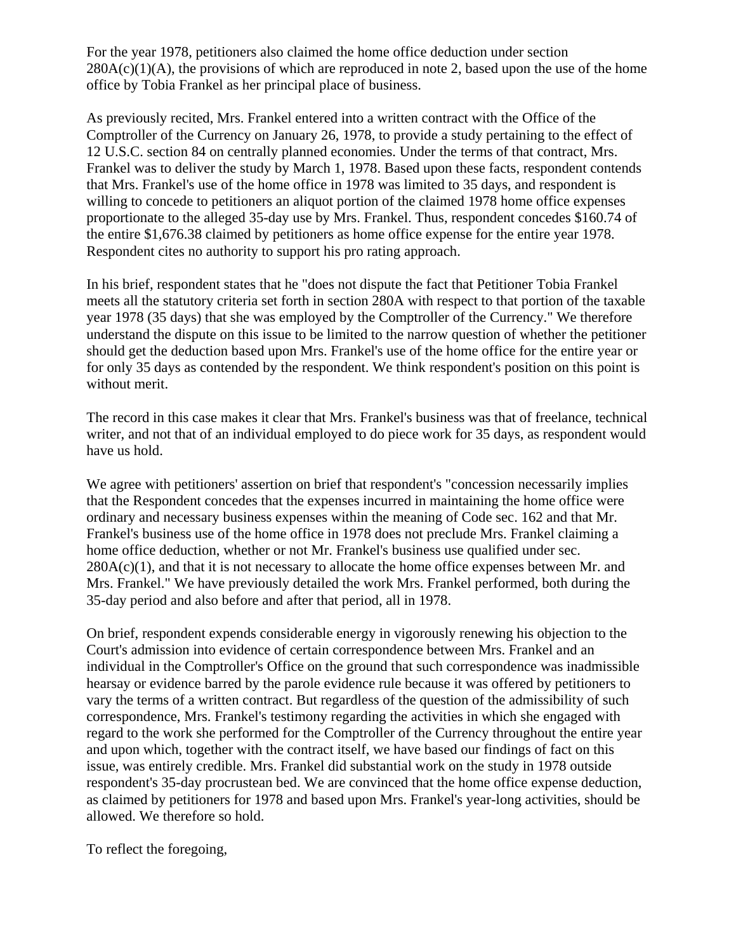For the year 1978, petitioners also claimed the home office deduction under section  $280A(c)(1)(A)$ , the provisions of which are reproduced in note 2, based upon the use of the home office by Tobia Frankel as her principal place of business.

As previously recited, Mrs. Frankel entered into a written contract with the Office of the Comptroller of the Currency on January 26, 1978, to provide a study pertaining to the effect of 12 U.S.C. section 84 on centrally planned economies. Under the terms of that contract, Mrs. Frankel was to deliver the study by March 1, 1978. Based upon these facts, respondent contends that Mrs. Frankel's use of the home office in 1978 was limited to 35 days, and respondent is willing to concede to petitioners an aliquot portion of the claimed 1978 home office expenses proportionate to the alleged 35-day use by Mrs. Frankel. Thus, respondent concedes \$160.74 of the entire \$1,676.38 claimed by petitioners as home office expense for the entire year 1978. Respondent cites no authority to support his pro rating approach.

In his brief, respondent states that he "does not dispute the fact that Petitioner Tobia Frankel meets all the statutory criteria set forth in section 280A with respect to that portion of the taxable year 1978 (35 days) that she was employed by the Comptroller of the Currency." We therefore understand the dispute on this issue to be limited to the narrow question of whether the petitioner should get the deduction based upon Mrs. Frankel's use of the home office for the entire year or for only 35 days as contended by the respondent. We think respondent's position on this point is without merit.

The record in this case makes it clear that Mrs. Frankel's business was that of freelance, technical writer, and not that of an individual employed to do piece work for 35 days, as respondent would have us hold.

We agree with petitioners' assertion on brief that respondent's "concession necessarily implies that the Respondent concedes that the expenses incurred in maintaining the home office were ordinary and necessary business expenses within the meaning of Code sec. 162 and that Mr. Frankel's business use of the home office in 1978 does not preclude Mrs. Frankel claiming a home office deduction, whether or not Mr. Frankel's business use qualified under sec.  $280A(c)(1)$ , and that it is not necessary to allocate the home office expenses between Mr. and Mrs. Frankel." We have previously detailed the work Mrs. Frankel performed, both during the 35-day period and also before and after that period, all in 1978.

On brief, respondent expends considerable energy in vigorously renewing his objection to the Court's admission into evidence of certain correspondence between Mrs. Frankel and an individual in the Comptroller's Office on the ground that such correspondence was inadmissible hearsay or evidence barred by the parole evidence rule because it was offered by petitioners to vary the terms of a written contract. But regardless of the question of the admissibility of such correspondence, Mrs. Frankel's testimony regarding the activities in which she engaged with regard to the work she performed for the Comptroller of the Currency throughout the entire year and upon which, together with the contract itself, we have based our findings of fact on this issue, was entirely credible. Mrs. Frankel did substantial work on the study in 1978 outside respondent's 35-day procrustean bed. We are convinced that the home office expense deduction, as claimed by petitioners for 1978 and based upon Mrs. Frankel's year-long activities, should be allowed. We therefore so hold.

To reflect the foregoing,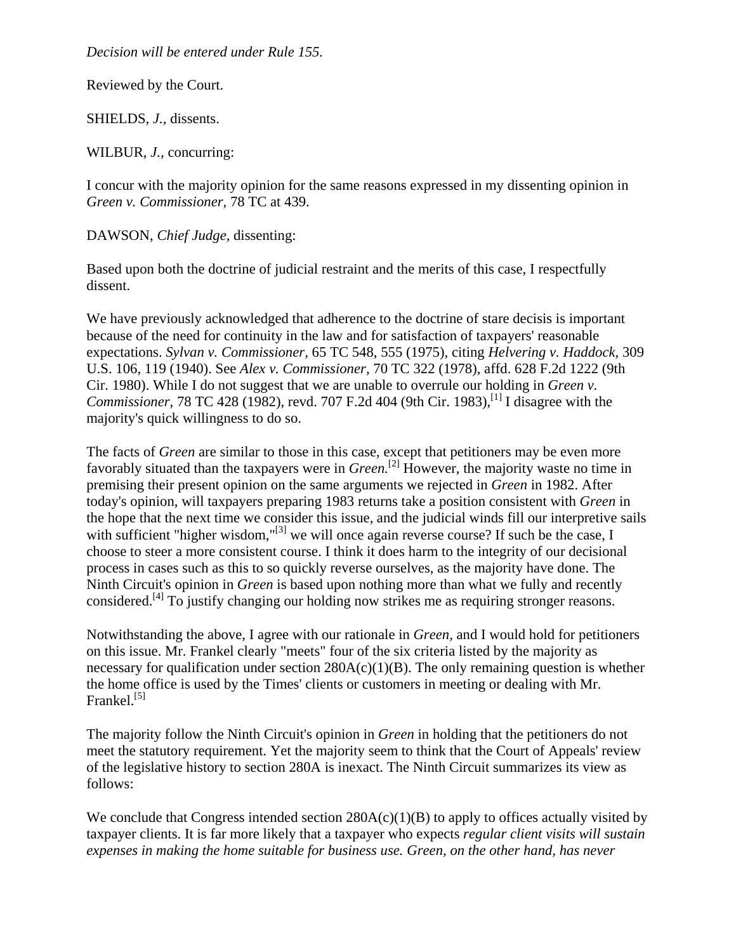*Decision will be entered under Rule 155.*

Reviewed by the Court.

SHIELDS, *J.,* dissents.

WILBUR, *J.,* concurring:

I concur with the majority opinion for the same reasons expressed in my dissenting opinion in *Green v. Commissioner,* 78 TC at 439.

DAWSON, *Chief Judge,* dissenting:

Based upon both the doctrine of judicial restraint and the merits of this case, I respectfully dissent.

We have previously acknowledged that adherence to the doctrine of stare decisis is important because of the need for continuity in the law and for satisfaction of taxpayers' reasonable expectations. *Sylvan v. Commissioner,* 65 TC 548, 555 (1975), citing *Helvering v. Haddock,* 309 U.S. 106, 119 (1940). See *Alex v. Commissioner,* 70 TC 322 (1978), affd. 628 F.2d 1222 (9th Cir. 1980). While I do not suggest that we are unable to overrule our holding in *Green v. Commissioner,* 78 TC 428 (1982), revd. 707 F.2d 404 (9th Cir. 1983), <sup>[1]</sup> I disagree with the majority's quick willingness to do so.

The facts of *Green* are similar to those in this case, except that petitioners may be even more favorably situated than the taxpayers were in *Green.*[2] However, the majority waste no time in premising their present opinion on the same arguments we rejected in *Green* in 1982. After today's opinion, will taxpayers preparing 1983 returns take a position consistent with *Green* in the hope that the next time we consider this issue, and the judicial winds fill our interpretive sails with sufficient "higher wisdom,"<sup>[3]</sup> we will once again reverse course? If such be the case, I choose to steer a more consistent course. I think it does harm to the integrity of our decisional process in cases such as this to so quickly reverse ourselves, as the majority have done. The Ninth Circuit's opinion in *Green* is based upon nothing more than what we fully and recently considered.<sup>[4]</sup> To justify changing our holding now strikes me as requiring stronger reasons.

Notwithstanding the above, I agree with our rationale in *Green,* and I would hold for petitioners on this issue. Mr. Frankel clearly "meets" four of the six criteria listed by the majority as necessary for qualification under section  $280A(c)(1)(B)$ . The only remaining question is whether the home office is used by the Times' clients or customers in meeting or dealing with Mr. Frankel.<sup>[5]</sup>

The majority follow the Ninth Circuit's opinion in *Green* in holding that the petitioners do not meet the statutory requirement. Yet the majority seem to think that the Court of Appeals' review of the legislative history to section 280A is inexact. The Ninth Circuit summarizes its view as follows:

We conclude that Congress intended section  $280A(c)(1)(B)$  to apply to offices actually visited by taxpayer clients. It is far more likely that a taxpayer who expects *regular client visits will sustain expenses in making the home suitable for business use. Green, on the other hand, has never*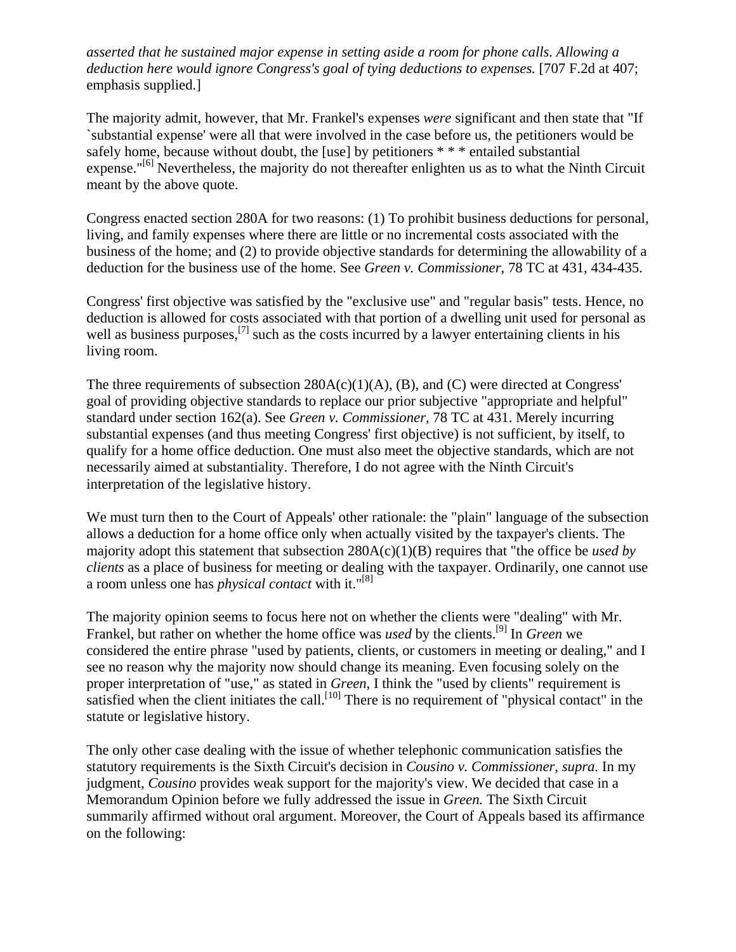*asserted that he sustained major expense in setting aside a room for phone calls. Allowing a deduction here would ignore Congress's goal of tying deductions to expenses.* [707 F.2d at 407; emphasis supplied.]

The majority admit, however, that Mr. Frankel's expenses *were* significant and then state that "If `substantial expense' were all that were involved in the case before us, the petitioners would be safely home, because without doubt, the [use] by petitioners \* \* \* entailed substantial expense."<sup>[6]</sup> Nevertheless, the majority do not thereafter enlighten us as to what the Ninth Circuit meant by the above quote.

Congress enacted section 280A for two reasons: (1) To prohibit business deductions for personal, living, and family expenses where there are little or no incremental costs associated with the business of the home; and (2) to provide objective standards for determining the allowability of a deduction for the business use of the home. See *Green v. Commissioner,* 78 TC at 431, 434-435.

Congress' first objective was satisfied by the "exclusive use" and "regular basis" tests. Hence, no deduction is allowed for costs associated with that portion of a dwelling unit used for personal as well as business purposes,  $\left[7\right]$  such as the costs incurred by a lawyer entertaining clients in his living room.

The three requirements of subsection  $280A(c)(1)(A)$ , (B), and (C) were directed at Congress' goal of providing objective standards to replace our prior subjective "appropriate and helpful" standard under section 162(a). See *Green v. Commissioner,* 78 TC at 431. Merely incurring substantial expenses (and thus meeting Congress' first objective) is not sufficient, by itself, to qualify for a home office deduction. One must also meet the objective standards, which are not necessarily aimed at substantiality. Therefore, I do not agree with the Ninth Circuit's interpretation of the legislative history.

We must turn then to the Court of Appeals' other rationale: the "plain" language of the subsection allows a deduction for a home office only when actually visited by the taxpayer's clients. The majority adopt this statement that subsection 280A(c)(1)(B) requires that "the office be *used by clients* as a place of business for meeting or dealing with the taxpayer. Ordinarily, one cannot use a room unless one has *physical contact* with it."[8]

The majority opinion seems to focus here not on whether the clients were "dealing" with Mr. Frankel, but rather on whether the home office was *used* by the clients.<sup>[9]</sup> In *Green* we considered the entire phrase "used by patients, clients, or customers in meeting or dealing," and I see no reason why the majority now should change its meaning. Even focusing solely on the proper interpretation of "use," as stated in *Green,* I think the "used by clients" requirement is satisfied when the client initiates the call.<sup>[10]</sup> There is no requirement of "physical contact" in the statute or legislative history.

The only other case dealing with the issue of whether telephonic communication satisfies the statutory requirements is the Sixth Circuit's decision in *Cousino v. Commissioner, supra.* In my judgment, *Cousino* provides weak support for the majority's view. We decided that case in a Memorandum Opinion before we fully addressed the issue in *Green.* The Sixth Circuit summarily affirmed without oral argument. Moreover, the Court of Appeals based its affirmance on the following: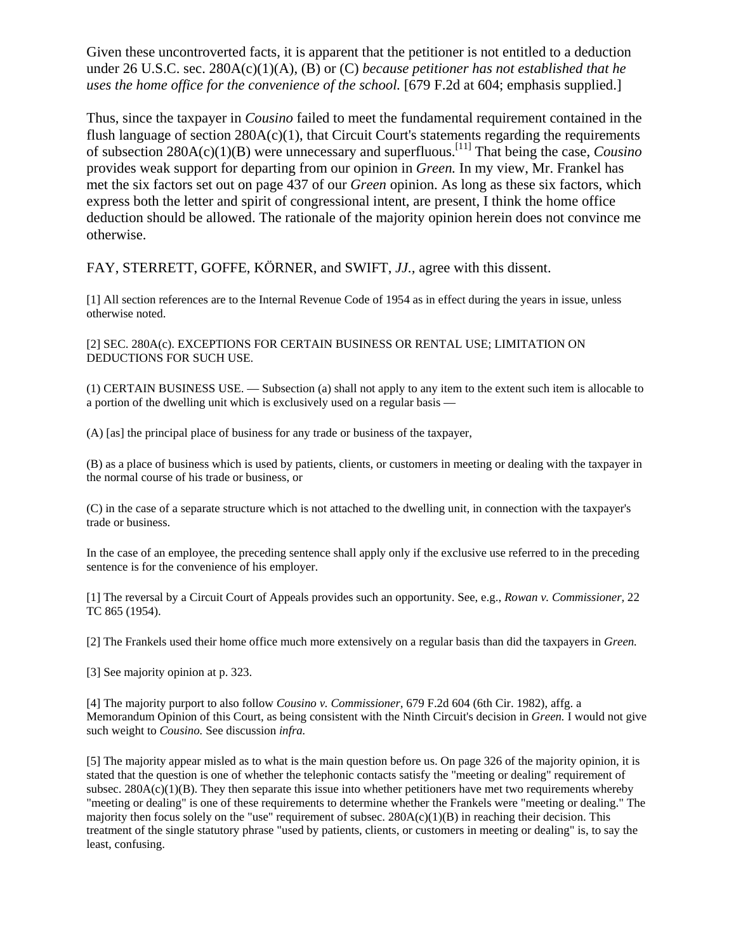Given these uncontroverted facts, it is apparent that the petitioner is not entitled to a deduction under 26 U.S.C. sec. 280A(c)(1)(A), (B) or (C) *because petitioner has not established that he uses the home office for the convenience of the school.* [679 F.2d at 604; emphasis supplied.]

Thus, since the taxpayer in *Cousino* failed to meet the fundamental requirement contained in the flush language of section  $280A(c)(1)$ , that Circuit Court's statements regarding the requirements of subsection 280A(c)(1)(B) were unnecessary and superfluous.[11] That being the case, *Cousino* provides weak support for departing from our opinion in *Green.* In my view, Mr. Frankel has met the six factors set out on page 437 of our *Green* opinion. As long as these six factors, which express both the letter and spirit of congressional intent, are present, I think the home office deduction should be allowed. The rationale of the majority opinion herein does not convince me otherwise.

FAY, STERRETT, GOFFE, KÖRNER, and SWIFT, *JJ.,* agree with this dissent.

[1] All section references are to the Internal Revenue Code of 1954 as in effect during the years in issue, unless otherwise noted.

[2] SEC. 280A(c). EXCEPTIONS FOR CERTAIN BUSINESS OR RENTAL USE; LIMITATION ON DEDUCTIONS FOR SUCH USE.

(1) CERTAIN BUSINESS USE. — Subsection (a) shall not apply to any item to the extent such item is allocable to a portion of the dwelling unit which is exclusively used on a regular basis —

(A) [as] the principal place of business for any trade or business of the taxpayer,

(B) as a place of business which is used by patients, clients, or customers in meeting or dealing with the taxpayer in the normal course of his trade or business, or

(C) in the case of a separate structure which is not attached to the dwelling unit, in connection with the taxpayer's trade or business.

In the case of an employee, the preceding sentence shall apply only if the exclusive use referred to in the preceding sentence is for the convenience of his employer.

[1] The reversal by a Circuit Court of Appeals provides such an opportunity. See, e.g., *Rowan v. Commissioner,* 22 TC 865 (1954).

[2] The Frankels used their home office much more extensively on a regular basis than did the taxpayers in *Green.*

[3] See majority opinion at p. 323.

[4] The majority purport to also follow *Cousino v. Commissioner,* 679 F.2d 604 (6th Cir. 1982), affg. a Memorandum Opinion of this Court, as being consistent with the Ninth Circuit's decision in *Green.* I would not give such weight to *Cousino.* See discussion *infra.*

[5] The majority appear misled as to what is the main question before us. On page 326 of the majority opinion, it is stated that the question is one of whether the telephonic contacts satisfy the "meeting or dealing" requirement of subsec.  $280A(c)(1)(B)$ . They then separate this issue into whether petitioners have met two requirements whereby "meeting or dealing" is one of these requirements to determine whether the Frankels were "meeting or dealing." The majority then focus solely on the "use" requirement of subsec.  $280A(c)(1)(B)$  in reaching their decision. This treatment of the single statutory phrase "used by patients, clients, or customers in meeting or dealing" is, to say the least, confusing.